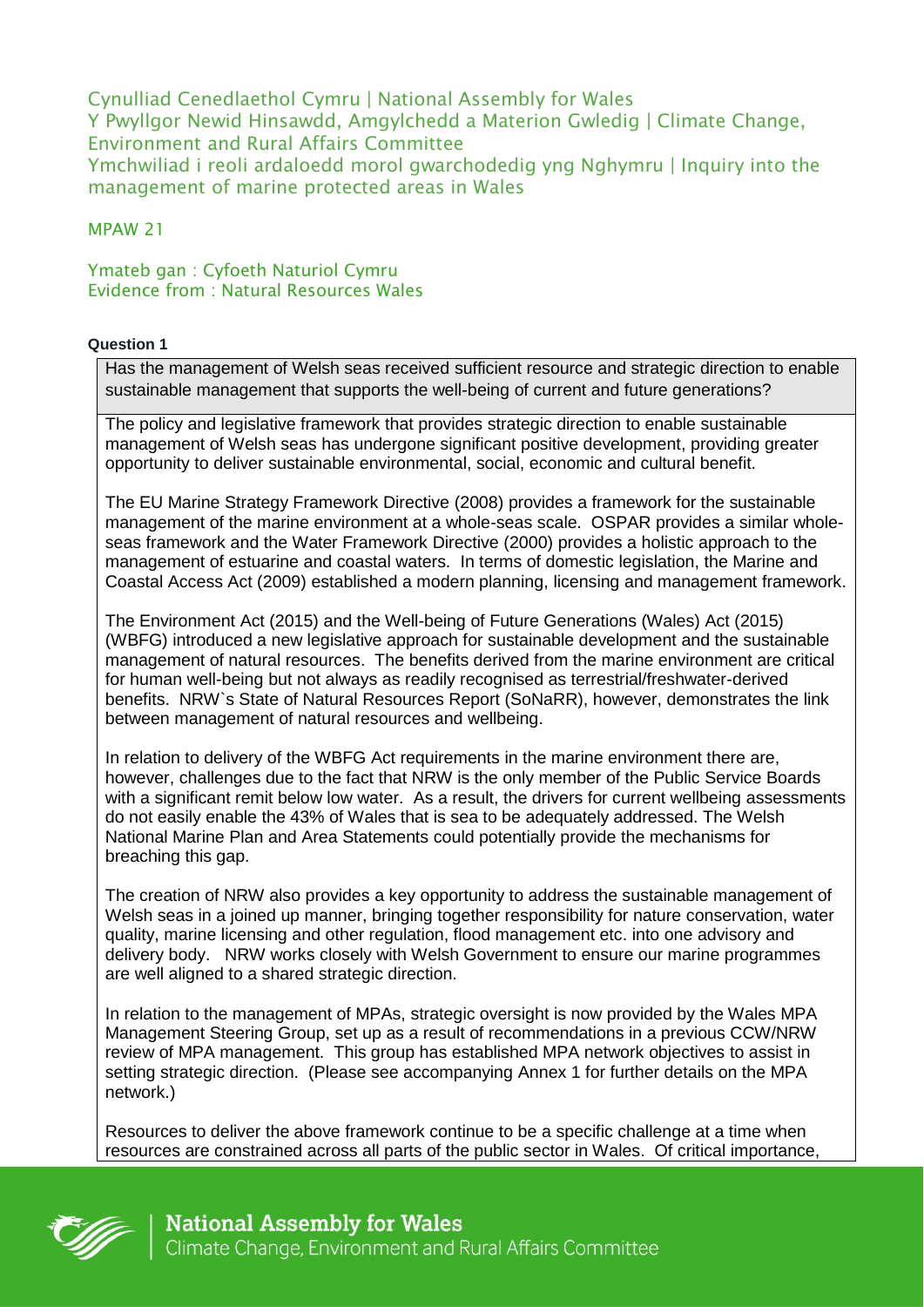Cynulliad Cenedlaethol Cymru | National Assembly for Wales Y Pwyllgor Newid Hinsawdd, Amgylchedd a Materion Gwledig | Climate Change, Environment and Rural Affairs Committee Ymchwiliad i reoli ardaloedd morol gwarchodedig yng Nghymru | Inquiry into the management of marine protected areas in Wales

### MPAW 21

Ymateb gan : Cyfoeth Naturiol Cymru Evidence from : Natural Resources Wales

#### **Question 1**

Has the management of Welsh seas received sufficient resource and strategic direction to enable sustainable management that supports the well-being of current and future generations?

The policy and legislative framework that provides strategic direction to enable sustainable management of Welsh seas has undergone significant positive development, providing greater opportunity to deliver sustainable environmental, social, economic and cultural benefit.

The EU Marine Strategy Framework Directive (2008) provides a framework for the sustainable management of the marine environment at a whole-seas scale. OSPAR provides a similar wholeseas framework and the Water Framework Directive (2000) provides a holistic approach to the management of estuarine and coastal waters. In terms of domestic legislation, the Marine and Coastal Access Act (2009) established a modern planning, licensing and management framework.

The Environment Act (2015) and the Well-being of Future Generations (Wales) Act (2015) (WBFG) introduced a new legislative approach for sustainable development and the sustainable management of natural resources. The benefits derived from the marine environment are critical for human well-being but not always as readily recognised as terrestrial/freshwater-derived benefits. NRW`s State of Natural Resources Report (SoNaRR), however, demonstrates the link between management of natural resources and wellbeing.

In relation to delivery of the WBFG Act requirements in the marine environment there are, however, challenges due to the fact that NRW is the only member of the Public Service Boards with a significant remit below low water. As a result, the drivers for current wellbeing assessments do not easily enable the 43% of Wales that is sea to be adequately addressed. The Welsh National Marine Plan and Area Statements could potentially provide the mechanisms for breaching this gap.

The creation of NRW also provides a key opportunity to address the sustainable management of Welsh seas in a joined up manner, bringing together responsibility for nature conservation, water quality, marine licensing and other regulation, flood management etc. into one advisory and delivery body. NRW works closely with Welsh Government to ensure our marine programmes are well aligned to a shared strategic direction.

In relation to the management of MPAs, strategic oversight is now provided by the Wales MPA Management Steering Group, set up as a result of recommendations in a previous CCW/NRW review of MPA management. This group has established MPA network objectives to assist in setting strategic direction. (Please see accompanying Annex 1 for further details on the MPA network.)

Resources to deliver the above framework continue to be a specific challenge at a time when resources are constrained across all parts of the public sector in Wales. Of critical importance,

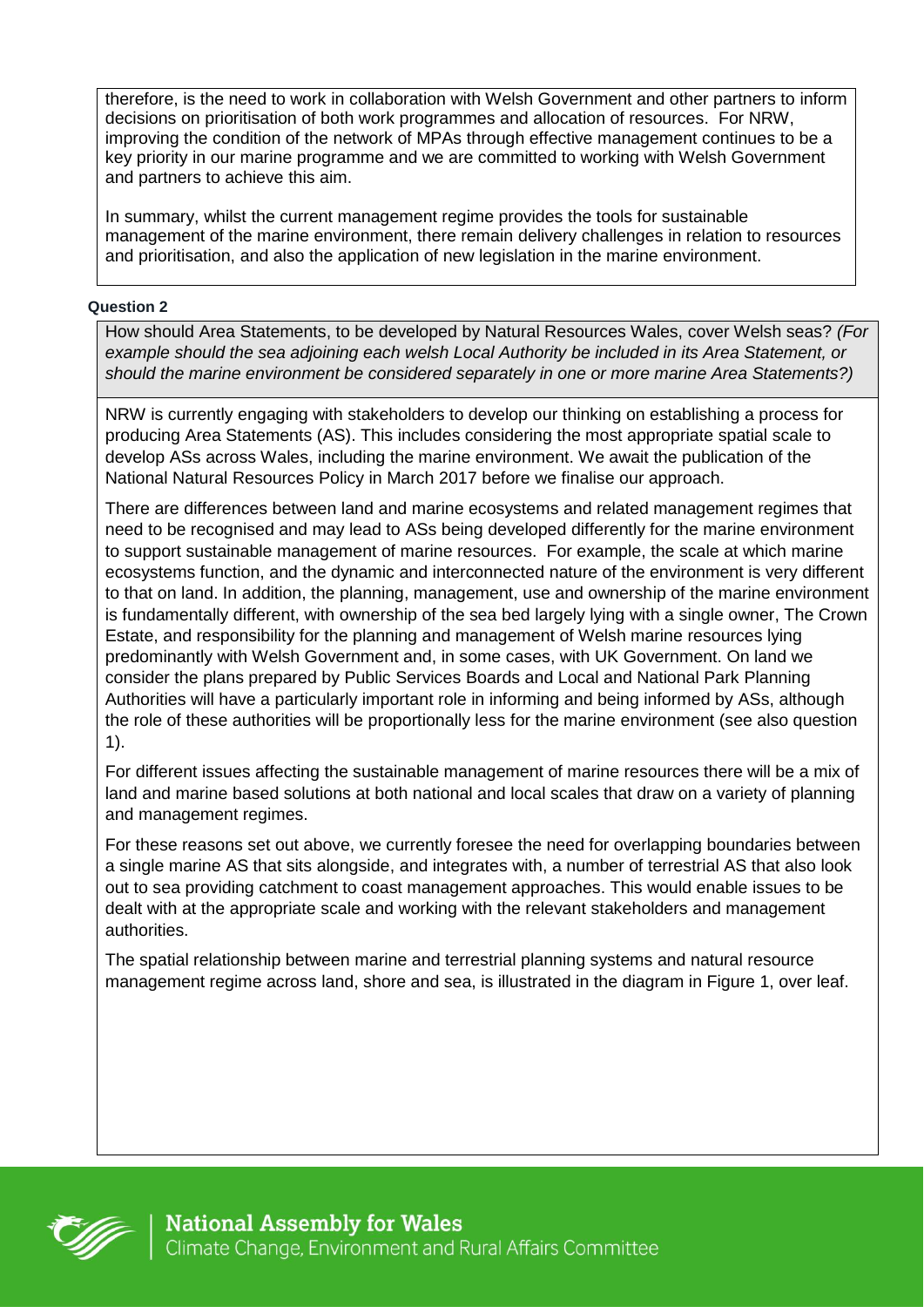therefore, is the need to work in collaboration with Welsh Government and other partners to inform decisions on prioritisation of both work programmes and allocation of resources. For NRW, improving the condition of the network of MPAs through effective management continues to be a key priority in our marine programme and we are committed to working with Welsh Government and partners to achieve this aim.

In summary, whilst the current management regime provides the tools for sustainable management of the marine environment, there remain delivery challenges in relation to resources and prioritisation, and also the application of new legislation in the marine environment.

#### **Question 2**

How should Area Statements, to be developed by Natural Resources Wales, cover Welsh seas? *(For example should the sea adjoining each welsh Local Authority be included in its Area Statement, or should the marine environment be considered separately in one or more marine Area Statements?)* 

NRW is currently engaging with stakeholders to develop our thinking on establishing a process for producing Area Statements (AS). This includes considering the most appropriate spatial scale to develop ASs across Wales, including the marine environment. We await the publication of the National Natural Resources Policy in March 2017 before we finalise our approach.

There are differences between land and marine ecosystems and related management regimes that need to be recognised and may lead to ASs being developed differently for the marine environment to support sustainable management of marine resources. For example, the scale at which marine ecosystems function, and the dynamic and interconnected nature of the environment is very different to that on land. In addition, the planning, management, use and ownership of the marine environment is fundamentally different, with ownership of the sea bed largely lying with a single owner, The Crown Estate, and responsibility for the planning and management of Welsh marine resources lying predominantly with Welsh Government and, in some cases, with UK Government. On land we consider the plans prepared by Public Services Boards and Local and National Park Planning Authorities will have a particularly important role in informing and being informed by ASs, although the role of these authorities will be proportionally less for the marine environment (see also question 1).

For different issues affecting the sustainable management of marine resources there will be a mix of land and marine based solutions at both national and local scales that draw on a variety of planning and management regimes.

For these reasons set out above, we currently foresee the need for overlapping boundaries between a single marine AS that sits alongside, and integrates with, a number of terrestrial AS that also look out to sea providing catchment to coast management approaches. This would enable issues to be dealt with at the appropriate scale and working with the relevant stakeholders and management authorities.

The spatial relationship between marine and terrestrial planning systems and natural resource management regime across land, shore and sea, is illustrated in the diagram in Figure 1, over leaf.

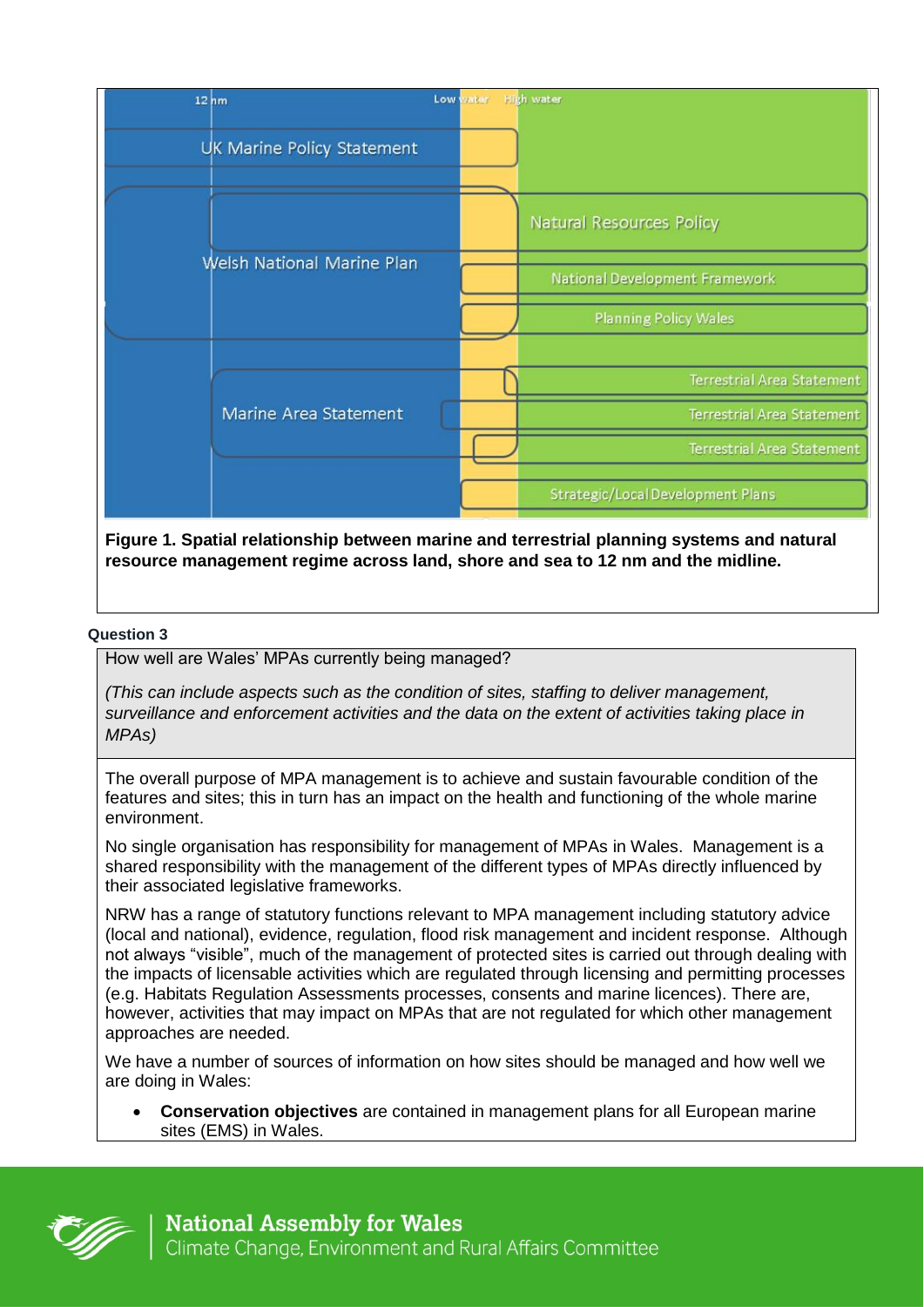|  | $12h$ m                    | Low water | <b>High water</b>                        |
|--|----------------------------|-----------|------------------------------------------|
|  | UK Marine Policy Statement |           |                                          |
|  |                            |           | <b>Natural Resources Policy</b>          |
|  | Welsh National Marine Plan |           | National Development Framework           |
|  |                            |           | <b>Planning Policy Wales</b>             |
|  | Marine Area Statement      |           | <b>Terrestrial Area Statement</b>        |
|  |                            |           | <b>Terrestrial Area Statement</b>        |
|  |                            |           | <b>Terrestrial Area Statement</b>        |
|  |                            |           | <b>Strategic/Local Development Plans</b> |

**Figure 1. Spatial relationship between marine and terrestrial planning systems and natural resource management regime across land, shore and sea to 12 nm and the midline.**

#### **Question 3**

How well are Wales' MPAs currently being managed?

*(This can include aspects such as the condition of sites, staffing to deliver management, surveillance and enforcement activities and the data on the extent of activities taking place in MPAs)* 

The overall purpose of MPA management is to achieve and sustain favourable condition of the features and sites; this in turn has an impact on the health and functioning of the whole marine environment.

No single organisation has responsibility for management of MPAs in Wales. Management is a shared responsibility with the management of the different types of MPAs directly influenced by their associated legislative frameworks.

NRW has a range of statutory functions relevant to MPA management including statutory advice (local and national), evidence, regulation, flood risk management and incident response. Although not always "visible", much of the management of protected sites is carried out through dealing with the impacts of licensable activities which are regulated through licensing and permitting processes (e.g. Habitats Regulation Assessments processes, consents and marine licences). There are, however, activities that may impact on MPAs that are not regulated for which other management approaches are needed.

We have a number of sources of information on how sites should be managed and how well we are doing in Wales:

 **Conservation objectives** are contained in management plans for all European marine sites (EMS) in Wales.

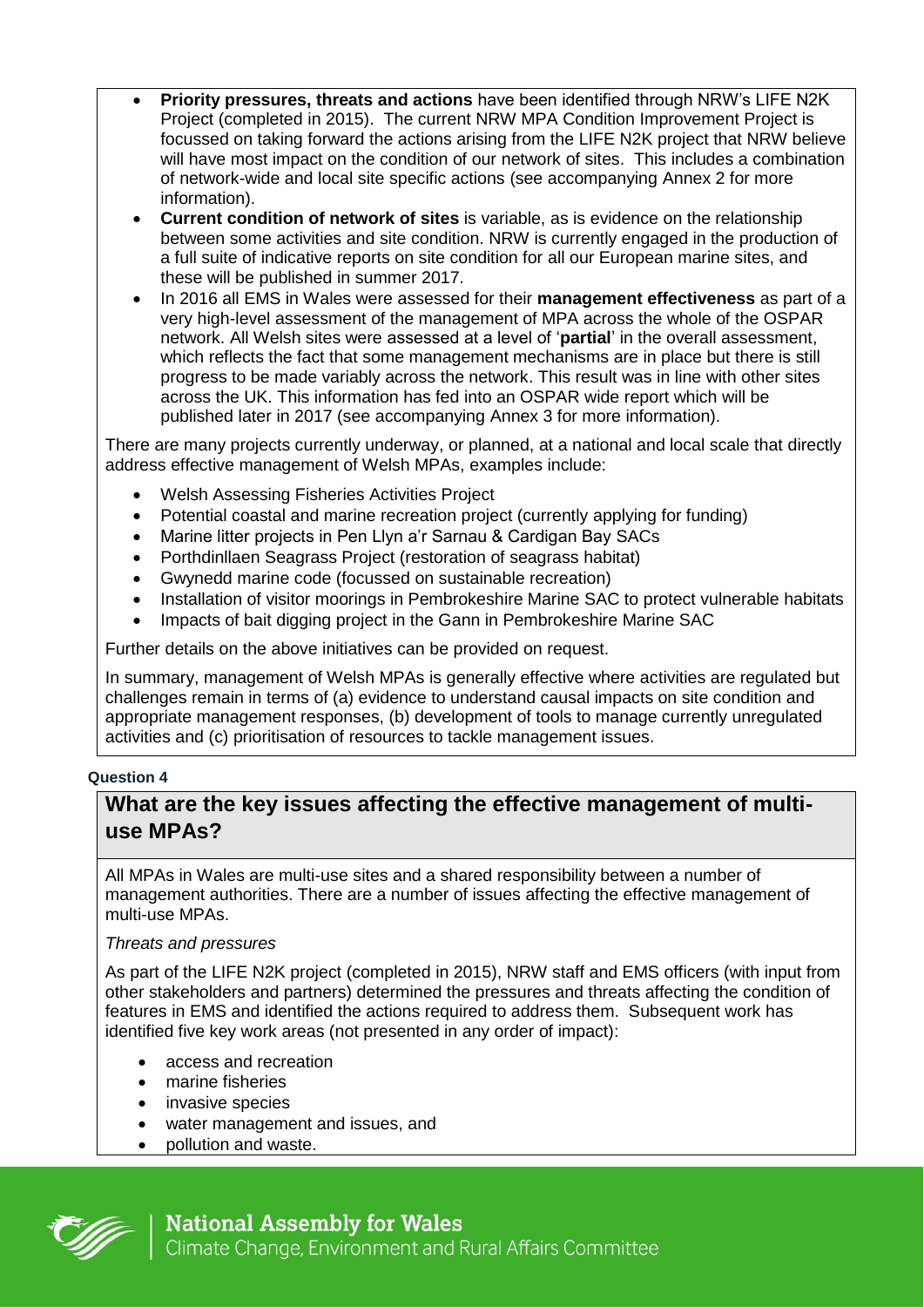- **Priority pressures, threats and actions** have been identified through NRW's LIFE N2K Project (completed in 2015). The current NRW MPA Condition Improvement Project is focussed on taking forward the actions arising from the LIFE N2K project that NRW believe will have most impact on the condition of our network of sites. This includes a combination of network-wide and local site specific actions (see accompanying Annex 2 for more information).
- **Current condition of network of sites** is variable, as is evidence on the relationship between some activities and site condition. NRW is currently engaged in the production of a full suite of indicative reports on site condition for all our European marine sites, and these will be published in summer 2017.
- In 2016 all EMS in Wales were assessed for their **management effectiveness** as part of a very high-level assessment of the management of MPA across the whole of the OSPAR network. All Welsh sites were assessed at a level of '**partial**' in the overall assessment, which reflects the fact that some management mechanisms are in place but there is still progress to be made variably across the network. This result was in line with other sites across the UK. This information has fed into an OSPAR wide report which will be published later in 2017 (see accompanying Annex 3 for more information).

There are many projects currently underway, or planned, at a national and local scale that directly address effective management of Welsh MPAs, examples include:

- Welsh Assessing Fisheries Activities Project
- Potential coastal and marine recreation project (currently applying for funding)
- Marine litter projects in Pen Llyn a'r Sarnau & Cardigan Bay SACs
- Porthdinllaen Seagrass Project (restoration of seagrass habitat)
- Gwynedd marine code (focussed on sustainable recreation)
- Installation of visitor moorings in Pembrokeshire Marine SAC to protect vulnerable habitats
- Impacts of bait digging project in the Gann in Pembrokeshire Marine SAC

Further details on the above initiatives can be provided on request.

In summary, management of Welsh MPAs is generally effective where activities are regulated but challenges remain in terms of (a) evidence to understand causal impacts on site condition and appropriate management responses, (b) development of tools to manage currently unregulated activities and (c) prioritisation of resources to tackle management issues.

### **Question 4**

## **What are the key issues affecting the effective management of multiuse MPAs?**

All MPAs in Wales are multi-use sites and a shared responsibility between a number of management authorities. There are a number of issues affecting the effective management of multi-use MPAs.

### *Threats and pressures*

As part of the LIFE N2K project (completed in 2015), NRW staff and EMS officers (with input from other stakeholders and partners) determined the pressures and threats affecting the condition of features in EMS and identified the actions required to address them. Subsequent work has identified five key work areas (not presented in any order of impact):

- access and recreation
- marine fisheries
- invasive species
- water management and issues, and
- pollution and waste.



**National Assembly for Wales** Climate Change, Environment and Rural Affairs Committee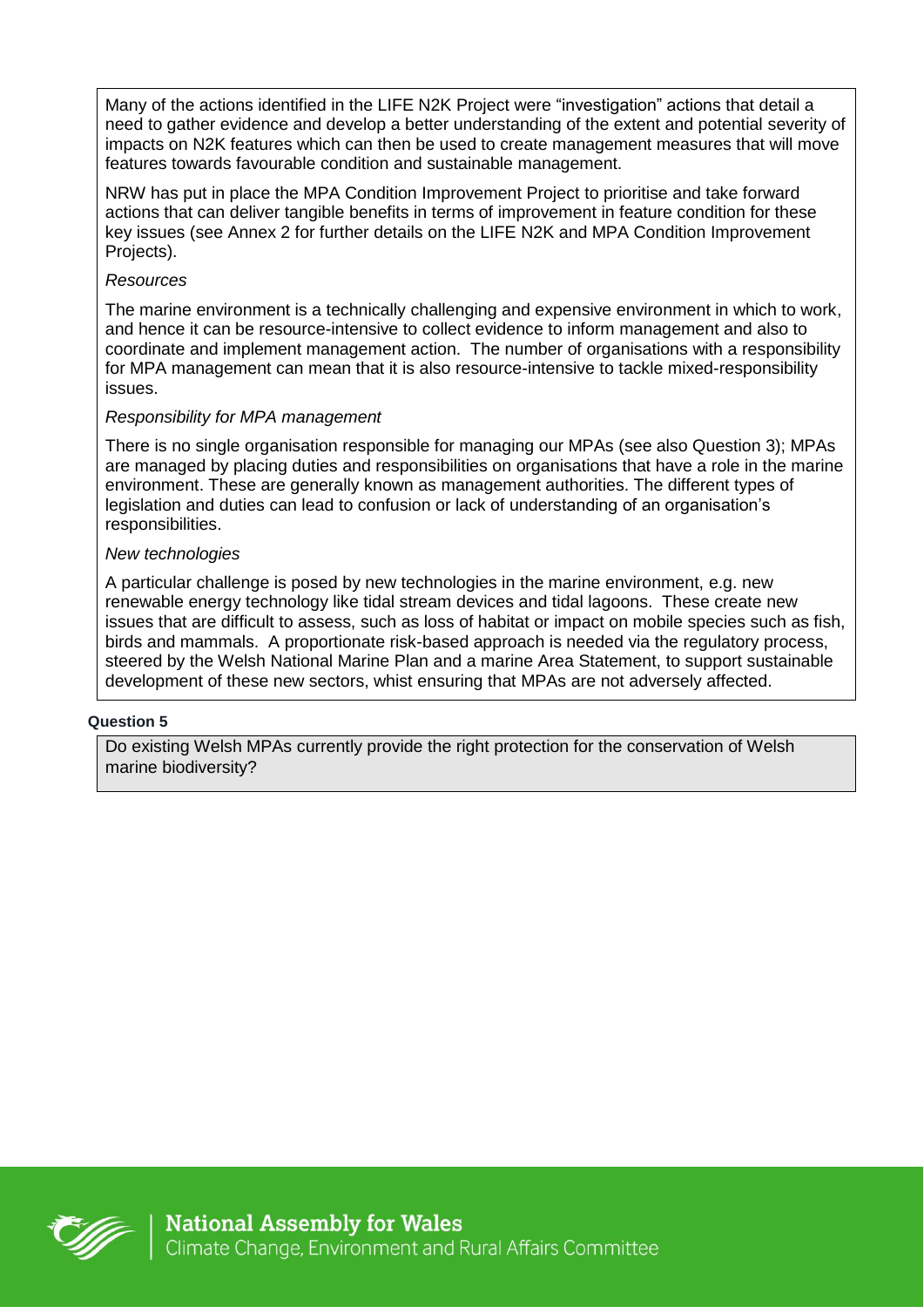Many of the actions identified in the LIFE N2K Project were "investigation" actions that detail a need to gather evidence and develop a better understanding of the extent and potential severity of impacts on N2K features which can then be used to create management measures that will move features towards favourable condition and sustainable management.

NRW has put in place the MPA Condition Improvement Project to prioritise and take forward actions that can deliver tangible benefits in terms of improvement in feature condition for these key issues (see Annex 2 for further details on the LIFE N2K and MPA Condition Improvement Projects).

#### *Resources*

The marine environment is a technically challenging and expensive environment in which to work, and hence it can be resource-intensive to collect evidence to inform management and also to coordinate and implement management action. The number of organisations with a responsibility for MPA management can mean that it is also resource-intensive to tackle mixed-responsibility issues.

### *Responsibility for MPA management*

There is no single organisation responsible for managing our MPAs (see also Question 3); MPAs are managed by placing duties and responsibilities on organisations that have a role in the marine environment. These are generally known as management authorities. The different types of legislation and duties can lead to confusion or lack of understanding of an organisation's responsibilities.

#### *New technologies*

A particular challenge is posed by new technologies in the marine environment, e.g. new renewable energy technology like tidal stream devices and tidal lagoons. These create new issues that are difficult to assess, such as loss of habitat or impact on mobile species such as fish, birds and mammals. A proportionate risk-based approach is needed via the regulatory process, steered by the Welsh National Marine Plan and a marine Area Statement, to support sustainable development of these new sectors, whist ensuring that MPAs are not adversely affected.

#### **Question 5**

Do existing Welsh MPAs currently provide the right protection for the conservation of Welsh marine biodiversity?

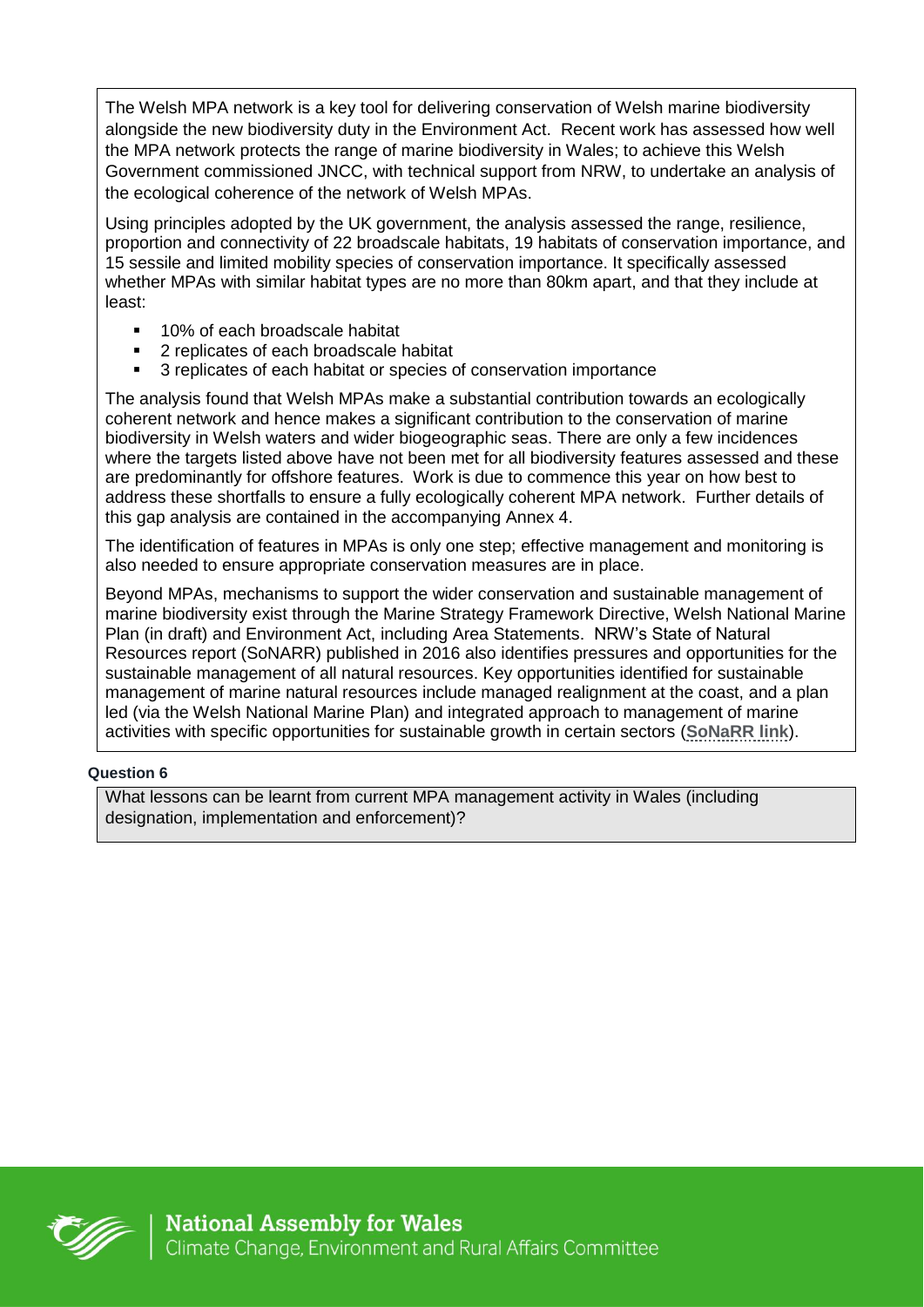The Welsh MPA network is a key tool for delivering conservation of Welsh marine biodiversity alongside the new biodiversity duty in the Environment Act. Recent work has assessed how well the MPA network protects the range of marine biodiversity in Wales; to achieve this Welsh Government commissioned JNCC, with technical support from NRW, to undertake an analysis of the ecological coherence of the network of Welsh MPAs.

Using principles adopted by the UK government, the analysis assessed the range, resilience, proportion and connectivity of 22 broadscale habitats, 19 habitats of conservation importance, and 15 sessile and limited mobility species of conservation importance. It specifically assessed whether MPAs with similar habitat types are no more than 80km apart, and that they include at least:

- 10% of each broadscale habitat
- 2 replicates of each broadscale habitat
- 3 replicates of each habitat or species of conservation importance

The analysis found that Welsh MPAs make a substantial contribution towards an ecologically coherent network and hence makes a significant contribution to the conservation of marine biodiversity in Welsh waters and wider biogeographic seas. There are only a few incidences where the targets listed above have not been met for all biodiversity features assessed and these are predominantly for offshore features. Work is due to commence this year on how best to address these shortfalls to ensure a fully ecologically coherent MPA network. Further details of this gap analysis are contained in the accompanying Annex 4.

The identification of features in MPAs is only one step; effective management and monitoring is also needed to ensure appropriate conservation measures are in place.

Beyond MPAs, mechanisms to support the wider conservation and sustainable management of marine biodiversity exist through the Marine Strategy Framework Directive, Welsh National Marine Plan (in draft) and Environment Act, including Area Statements. NRW's State of Natural Resources report (SoNARR) published in 2016 also identifies pressures and opportunities for the sustainable management of all natural resources. Key opportunities identified for sustainable management of marine natural resources include managed realignment at the coast, and a plan led (via the Welsh National Marine Plan) and integrated approach to management of marine activities with specific opportunities for sustainable growth in certain sectors (**[SoNaRR link](https://naturalresources.wales/our-evidence-and-reports/the-state-of-natural-resources-report-assessment-of-the-sustainable-management-of-natural-resources/?lang=en)**).

### **Question 6**

What lessons can be learnt from current MPA management activity in Wales (including designation, implementation and enforcement)?

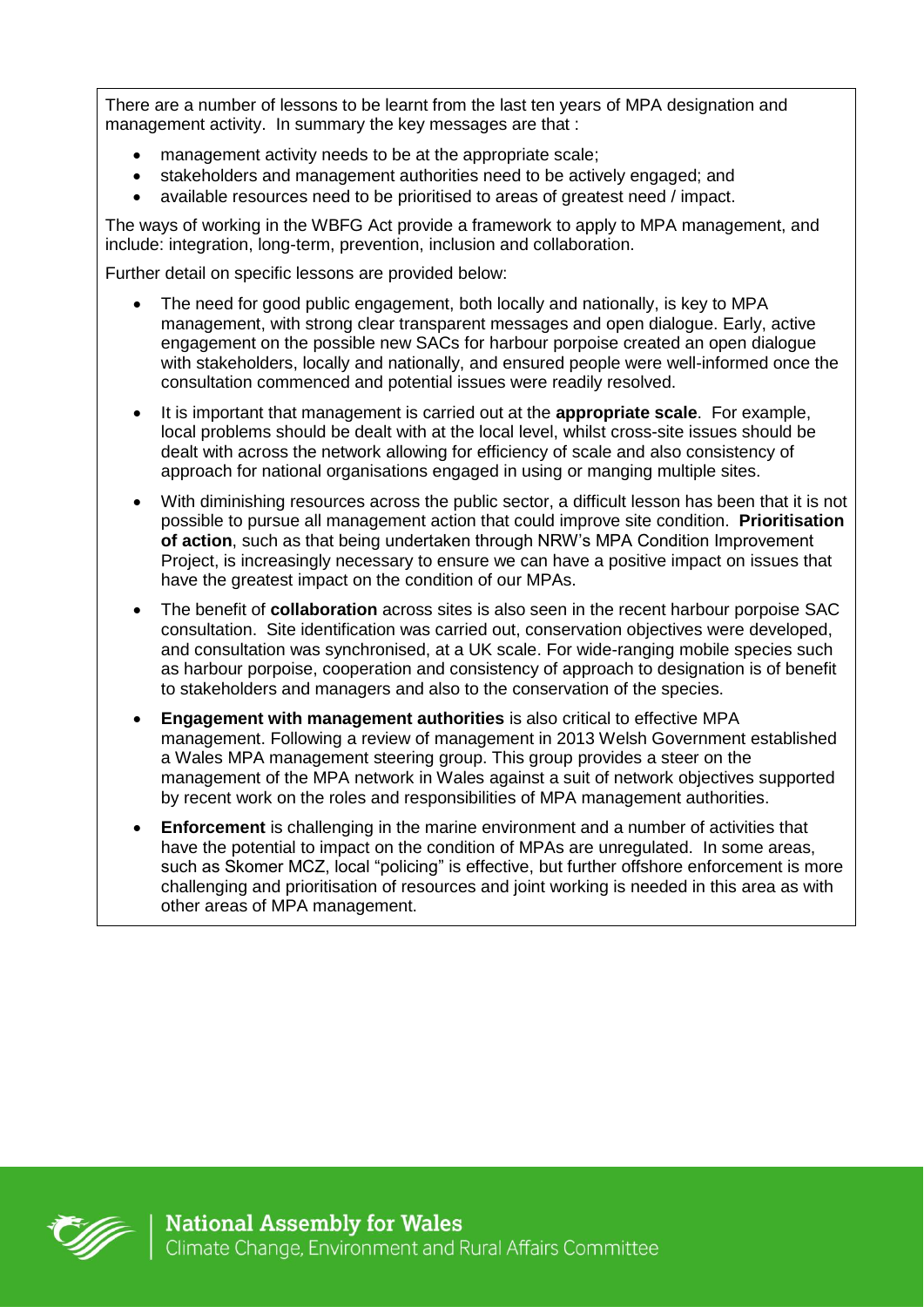There are a number of lessons to be learnt from the last ten years of MPA designation and management activity. In summary the key messages are that :

- management activity needs to be at the appropriate scale;
- stakeholders and management authorities need to be actively engaged; and
- available resources need to be prioritised to areas of greatest need / impact.

The ways of working in the WBFG Act provide a framework to apply to MPA management, and include: integration, long-term, prevention, inclusion and collaboration.

Further detail on specific lessons are provided below:

- The need for good public engagement, both locally and nationally, is key to MPA management, with strong clear transparent messages and open dialogue. Early, active engagement on the possible new SACs for harbour porpoise created an open dialogue with stakeholders, locally and nationally, and ensured people were well-informed once the consultation commenced and potential issues were readily resolved.
- It is important that management is carried out at the **appropriate scale**. For example, local problems should be dealt with at the local level, whilst cross-site issues should be dealt with across the network allowing for efficiency of scale and also consistency of approach for national organisations engaged in using or manging multiple sites.
- With diminishing resources across the public sector, a difficult lesson has been that it is not possible to pursue all management action that could improve site condition. **Prioritisation of action**, such as that being undertaken through NRW's MPA Condition Improvement Project, is increasingly necessary to ensure we can have a positive impact on issues that have the greatest impact on the condition of our MPAs.
- The benefit of **collaboration** across sites is also seen in the recent harbour porpoise SAC consultation. Site identification was carried out, conservation objectives were developed, and consultation was synchronised, at a UK scale. For wide-ranging mobile species such as harbour porpoise, cooperation and consistency of approach to designation is of benefit to stakeholders and managers and also to the conservation of the species.
- **Engagement with management authorities** is also critical to effective MPA management. Following a review of management in 2013 Welsh Government established a Wales MPA management steering group. This group provides a steer on the management of the MPA network in Wales against a suit of network objectives supported by recent work on the roles and responsibilities of MPA management authorities.
- **Enforcement** is challenging in the marine environment and a number of activities that have the potential to impact on the condition of MPAs are unregulated. In some areas, such as Skomer MCZ, local "policing" is effective, but further offshore enforcement is more challenging and prioritisation of resources and joint working is needed in this area as with other areas of MPA management.

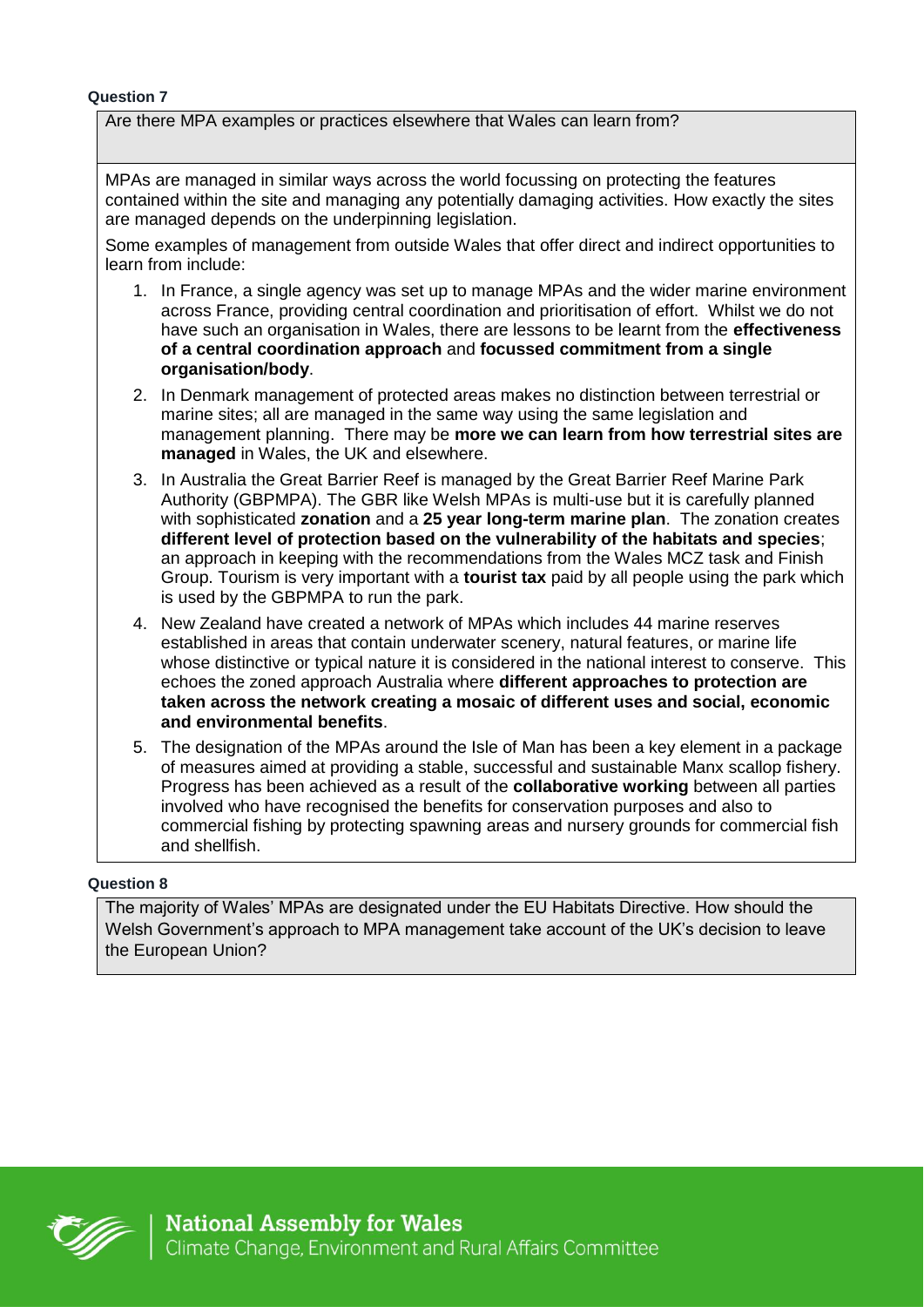#### **Question 7**

Are there MPA examples or practices elsewhere that Wales can learn from?

MPAs are managed in similar ways across the world focussing on protecting the features contained within the site and managing any potentially damaging activities. How exactly the sites are managed depends on the underpinning legislation.

Some examples of management from outside Wales that offer direct and indirect opportunities to learn from include:

- 1. In France, a single agency was set up to manage MPAs and the wider marine environment across France, providing central coordination and prioritisation of effort. Whilst we do not have such an organisation in Wales, there are lessons to be learnt from the **effectiveness of a central coordination approach** and **focussed commitment from a single organisation/body**.
- 2. In Denmark management of protected areas makes no distinction between terrestrial or marine sites; all are managed in the same way using the same legislation and management planning. There may be **more we can learn from how terrestrial sites are managed** in Wales, the UK and elsewhere.
- 3. In Australia the Great Barrier Reef is managed by the Great Barrier Reef Marine Park Authority (GBPMPA). The GBR like Welsh MPAs is multi-use but it is carefully planned with sophisticated **zonation** and a **25 year long-term marine plan**. The zonation creates **different level of protection based on the vulnerability of the habitats and species**; an approach in keeping with the recommendations from the Wales MCZ task and Finish Group. Tourism is very important with a **tourist tax** paid by all people using the park which is used by the GBPMPA to run the park.
- 4. New Zealand have created a network of MPAs which includes 44 marine reserves established in areas that contain underwater scenery, natural features, or marine life whose distinctive or typical nature it is considered in the national interest to conserve. This echoes the zoned approach Australia where **different approaches to protection are taken across the network creating a mosaic of different uses and social, economic and environmental benefits**.
- 5. The designation of the MPAs around the Isle of Man has been a key element in a package of measures aimed at providing a stable, successful and sustainable Manx scallop fishery. Progress has been achieved as a result of the **collaborative working** between all parties involved who have recognised the benefits for conservation purposes and also to commercial fishing by protecting spawning areas and nursery grounds for commercial fish and shellfish.

#### **Question 8**

The majority of Wales' MPAs are designated under the EU Habitats Directive. How should the Welsh Government's approach to MPA management take account of the UK's decision to leave the European Union?

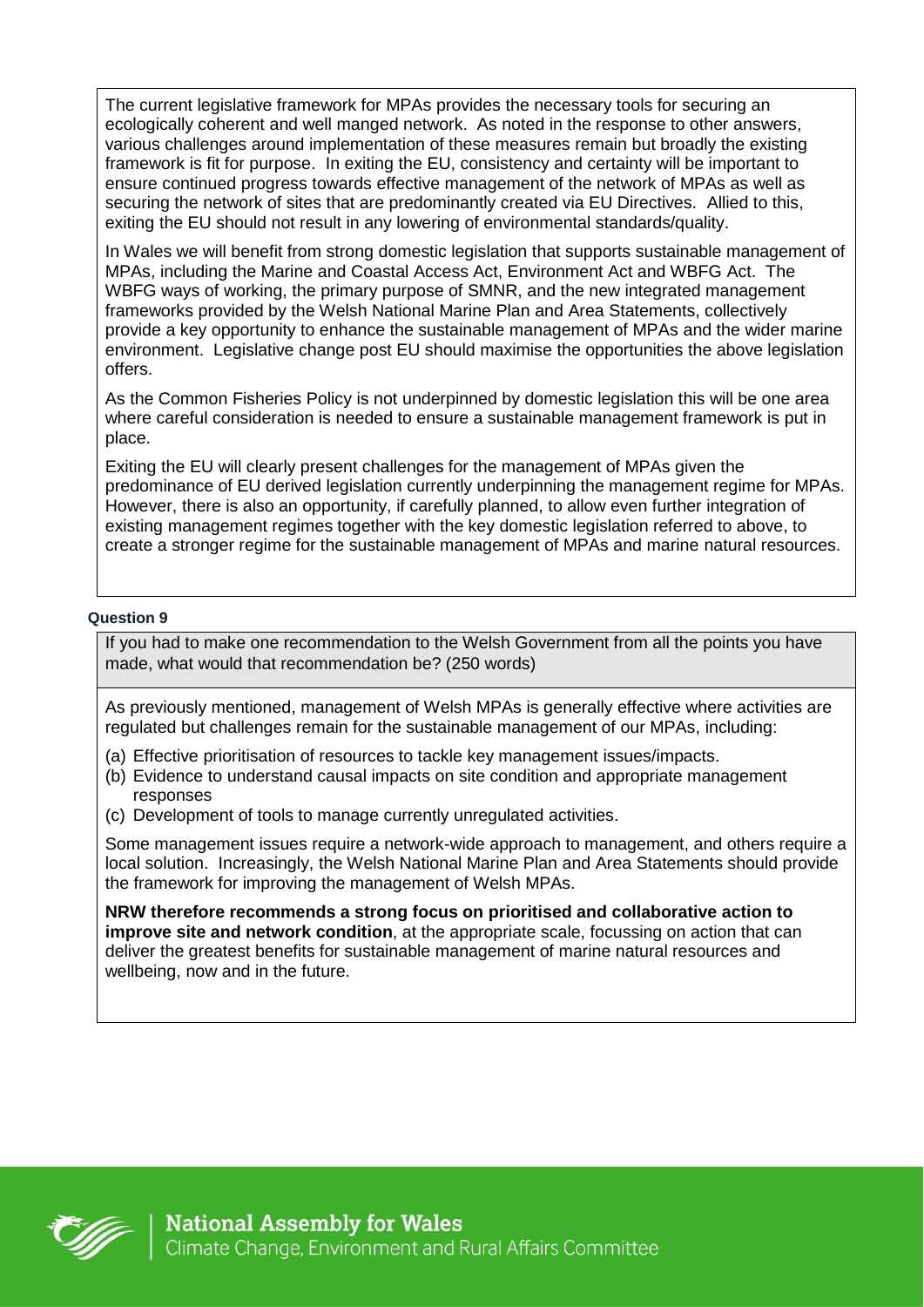The current legislative framework for MPAs provides the necessary tools for securing an ecologically coherent and well manged network. As noted in the response to other answers, various challenges around implementation of these measures remain but broadly the existing framework is fit for purpose. In exiting the EU, consistency and certainty will be important to ensure continued progress towards effective management of the network of MPAs as well as securing the network of sites that are predominantly created via EU Directives. Allied to this, exiting the EU should not result in any lowering of environmental standards/quality.

In Wales we will benefit from strong domestic legislation that supports sustainable management of MPAs, including the Marine and Coastal Access Act, Environment Act and WBFG Act. The WBFG ways of working, the primary purpose of SMNR, and the new integrated management frameworks provided by the Welsh National Marine Plan and Area Statements, collectively provide a key opportunity to enhance the sustainable management of MPAs and the wider marine environment. Legislative change post EU should maximise the opportunities the above legislation offers.

As the Common Fisheries Policy is not underpinned by domestic legislation this will be one area where careful consideration is needed to ensure a sustainable management framework is put in place.

Exiting the EU will clearly present challenges for the management of MPAs given the predominance of EU derived legislation currently underpinning the management regime for MPAs. However, there is also an opportunity, if carefully planned, to allow even further integration of existing management regimes together with the key domestic legislation referred to above, to create a stronger regime for the sustainable management of MPAs and marine natural resources.

### **Question 9**

If you had to make one recommendation to the Welsh Government from all the points you have made, what would that recommendation be? (250 words)

As previously mentioned, management of Welsh MPAs is generally effective where activities are regulated but challenges remain for the sustainable management of our MPAs, including:

- (a) Effective prioritisation of resources to tackle key management issues/impacts.
- (b) Evidence to understand causal impacts on site condition and appropriate management responses
- (c) Development of tools to manage currently unregulated activities.

Some management issues require a network-wide approach to management, and others require a local solution. Increasingly, the Welsh National Marine Plan and Area Statements should provide the framework for improving the management of Welsh MPAs.

**NRW therefore recommends a strong focus on prioritised and collaborative action to improve site and network condition**, at the appropriate scale, focussing on action that can deliver the greatest benefits for sustainable management of marine natural resources and wellbeing, now and in the future.

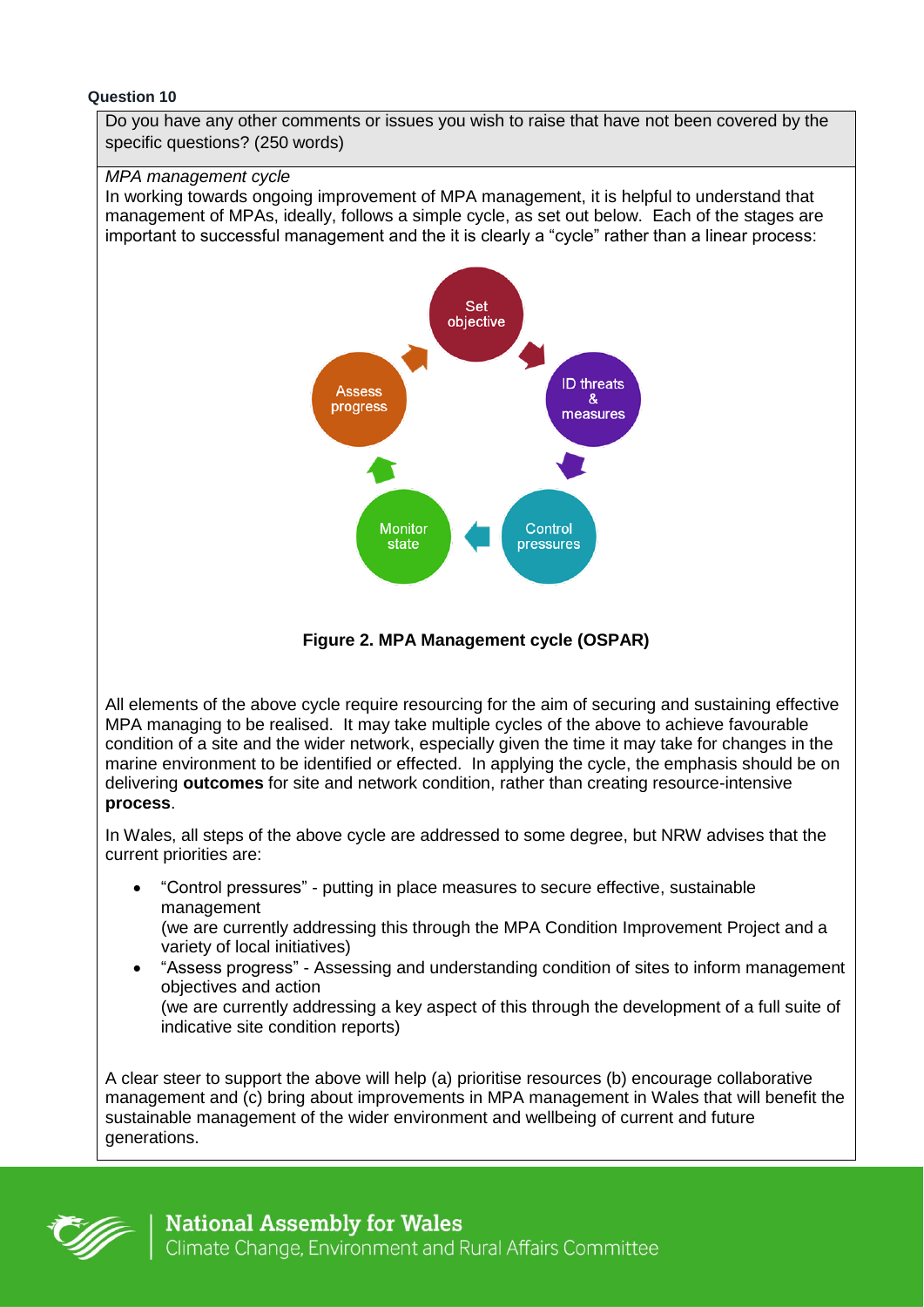#### **Question 10**

Do you have any other comments or issues you wish to raise that have not been covered by the specific questions? (250 words)

#### *MPA management cycle*

In working towards ongoing improvement of MPA management, it is helpful to understand that management of MPAs, ideally, follows a simple cycle, as set out below. Each of the stages are important to successful management and the it is clearly a "cycle" rather than a linear process:



**Figure 2. MPA Management cycle (OSPAR)**

All elements of the above cycle require resourcing for the aim of securing and sustaining effective MPA managing to be realised. It may take multiple cycles of the above to achieve favourable condition of a site and the wider network, especially given the time it may take for changes in the marine environment to be identified or effected. In applying the cycle, the emphasis should be on delivering **outcomes** for site and network condition, rather than creating resource-intensive **process**.

In Wales, all steps of the above cycle are addressed to some degree, but NRW advises that the current priorities are:

- "Control pressures" putting in place measures to secure effective, sustainable management (we are currently addressing this through the MPA Condition Improvement Project and a variety of local initiatives)
- "Assess progress" Assessing and understanding condition of sites to inform management objectives and action (we are currently addressing a key aspect of this through the development of a full suite of indicative site condition reports)

A clear steer to support the above will help (a) prioritise resources (b) encourage collaborative management and (c) bring about improvements in MPA management in Wales that will benefit the sustainable management of the wider environment and wellbeing of current and future generations.

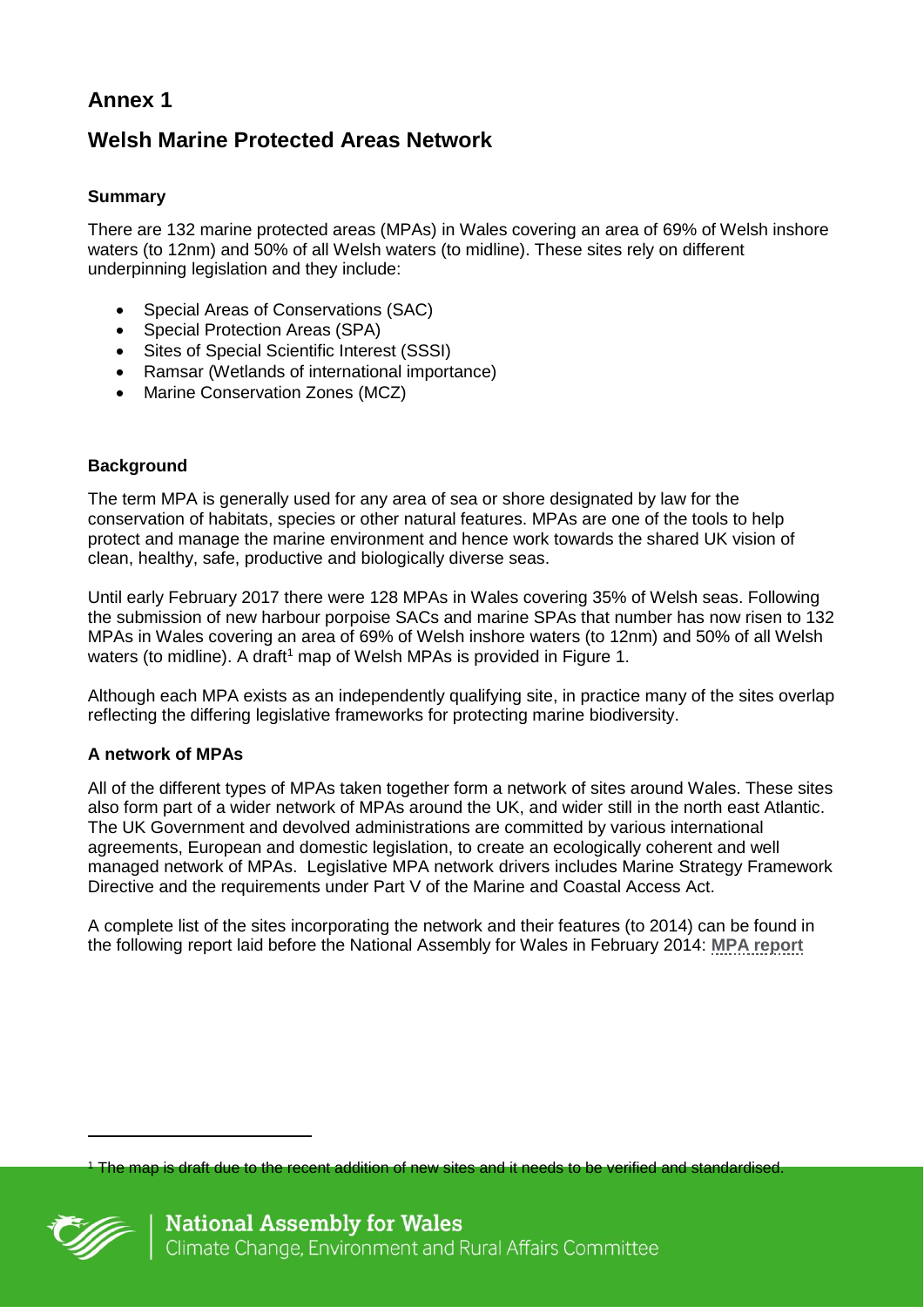# **Welsh Marine Protected Areas Network**

## **Summary**

There are 132 marine protected areas (MPAs) in Wales covering an area of 69% of Welsh inshore waters (to 12nm) and 50% of all Welsh waters (to midline). These sites rely on different underpinning legislation and they include:

- Special Areas of Conservations (SAC)
- Special Protection Areas (SPA)
- Sites of Special Scientific Interest (SSSI)
- Ramsar (Wetlands of international importance)
- Marine Conservation Zones (MCZ)

### **Background**

The term MPA is generally used for any area of sea or shore designated by law for the conservation of habitats, species or other natural features. MPAs are one of the tools to help protect and manage the marine environment and hence work towards the shared UK vision of clean, healthy, safe, productive and biologically diverse seas.

Until early February 2017 there were 128 MPAs in Wales covering 35% of Welsh seas. Following the submission of new harbour porpoise SACs and marine SPAs that number has now risen to 132 MPAs in Wales covering an area of 69% of Welsh inshore waters (to 12nm) and 50% of all Welsh waters (to midline). A draft<sup>1</sup> map of Welsh MPAs is provided in Figure 1.

Although each MPA exists as an independently qualifying site, in practice many of the sites overlap reflecting the differing legislative frameworks for protecting marine biodiversity.

### **A network of MPAs**

All of the different types of MPAs taken together form a network of sites around Wales. These sites also form part of a wider network of MPAs around the UK, and wider still in the north east Atlantic. The UK Government and devolved administrations are committed by various international agreements, European and domestic legislation, to create an ecologically coherent and well managed network of MPAs. Legislative MPA network drivers includes Marine Strategy Framework Directive and the requirements under Part V of the Marine and Coastal Access Act.

A complete list of the sites incorporating the network and their features (to 2014) can be found in the following report laid before the National Assembly for Wales in February 2014: **[MPA report](http://www.assembly.wales/Laid%20Documents/GEN-LD9645%20-%20Report%20to%20the%20National%20Assembly%20for%20Wales%20on%20Marine%20Protected%20Areas%20in%20Wales-06022014-253588/gen-ld9645-e-English.pdf)**

The map is draft due to the recent addition of new sites and it needs to be verified and standardised.



 $\overline{a}$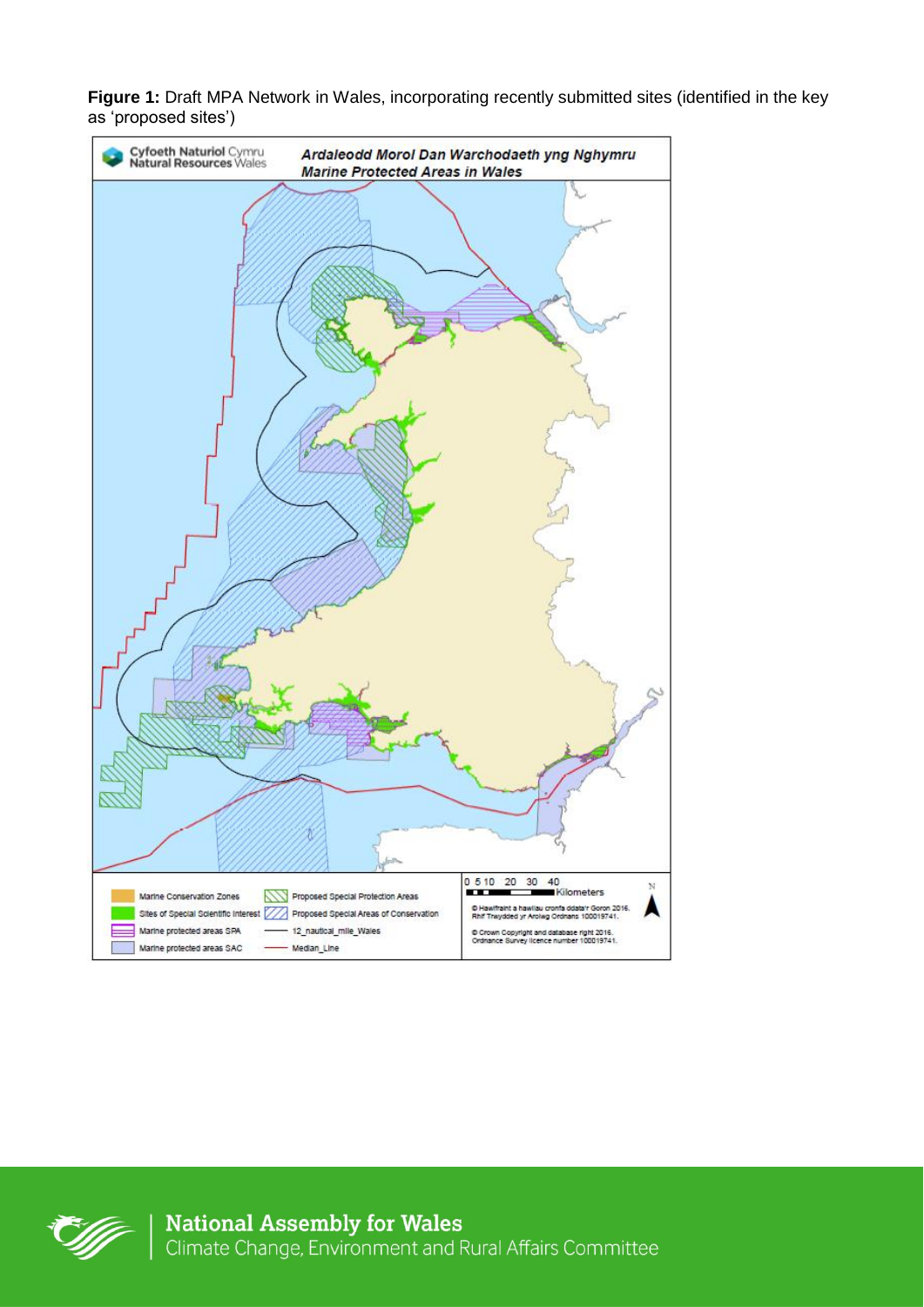**Figure 1:** Draft MPA Network in Wales, incorporating recently submitted sites (identified in the key as 'proposed sites')



**National Assembly for Wales**<br>Climate Change, Environment and Rural Affairs Committee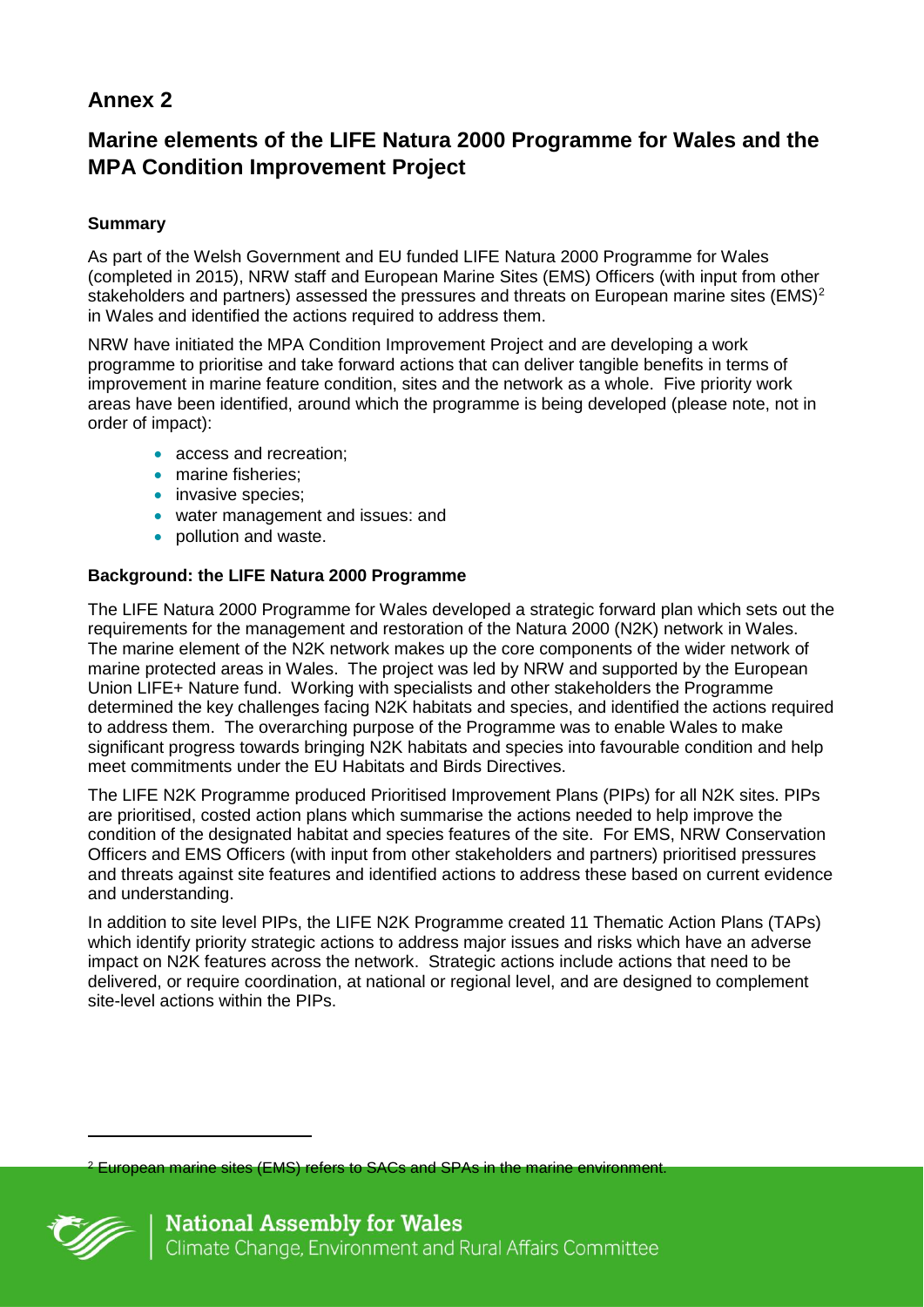# **Marine elements of the LIFE Natura 2000 Programme for Wales and the MPA Condition Improvement Project**

## **Summary**

As part of the Welsh Government and EU funded LIFE Natura 2000 Programme for Wales (completed in 2015), NRW staff and European Marine Sites (EMS) Officers (with input from other stakeholders and partners) assessed the pressures and threats on European marine sites (EMS)<sup>2</sup> in Wales and identified the actions required to address them.

NRW have initiated the MPA Condition Improvement Project and are developing a work programme to prioritise and take forward actions that can deliver tangible benefits in terms of improvement in marine feature condition, sites and the network as a whole. Five priority work areas have been identified, around which the programme is being developed (please note, not in order of impact):

- access and recreation:
- marine fisheries;
- invasive species:
- water management and issues: and
- pollution and waste.

### **Background: the LIFE Natura 2000 Programme**

The LIFE Natura 2000 Programme for Wales developed a strategic forward plan which sets out the requirements for the management and restoration of the Natura 2000 (N2K) network in Wales. The marine element of the N2K network makes up the core components of the wider network of marine protected areas in Wales. The project was led by NRW and supported by the European Union LIFE+ Nature fund. Working with specialists and other stakeholders the Programme determined the key challenges facing N2K habitats and species, and identified the actions required to address them. The overarching purpose of the Programme was to enable Wales to make significant progress towards bringing N2K habitats and species into favourable condition and help meet commitments under the EU Habitats and Birds Directives.

The LIFE N2K Programme produced Prioritised Improvement Plans (PIPs) for all N2K sites. PIPs are prioritised, costed action plans which summarise the actions needed to help improve the condition of the designated habitat and species features of the site. For EMS, NRW Conservation Officers and EMS Officers (with input from other stakeholders and partners) prioritised pressures and threats against site features and identified actions to address these based on current evidence and understanding.

In addition to site level PIPs, the LIFE N2K Programme created 11 Thematic Action Plans (TAPs) which identify priority strategic actions to address major issues and risks which have an adverse impact on N2K features across the network. Strategic actions include actions that need to be delivered, or require coordination, at national or regional level, and are designed to complement site-level actions within the PIPs.

European marine sites (EMS) refers to SACs and SPAs in the marine environment.



 $\overline{a}$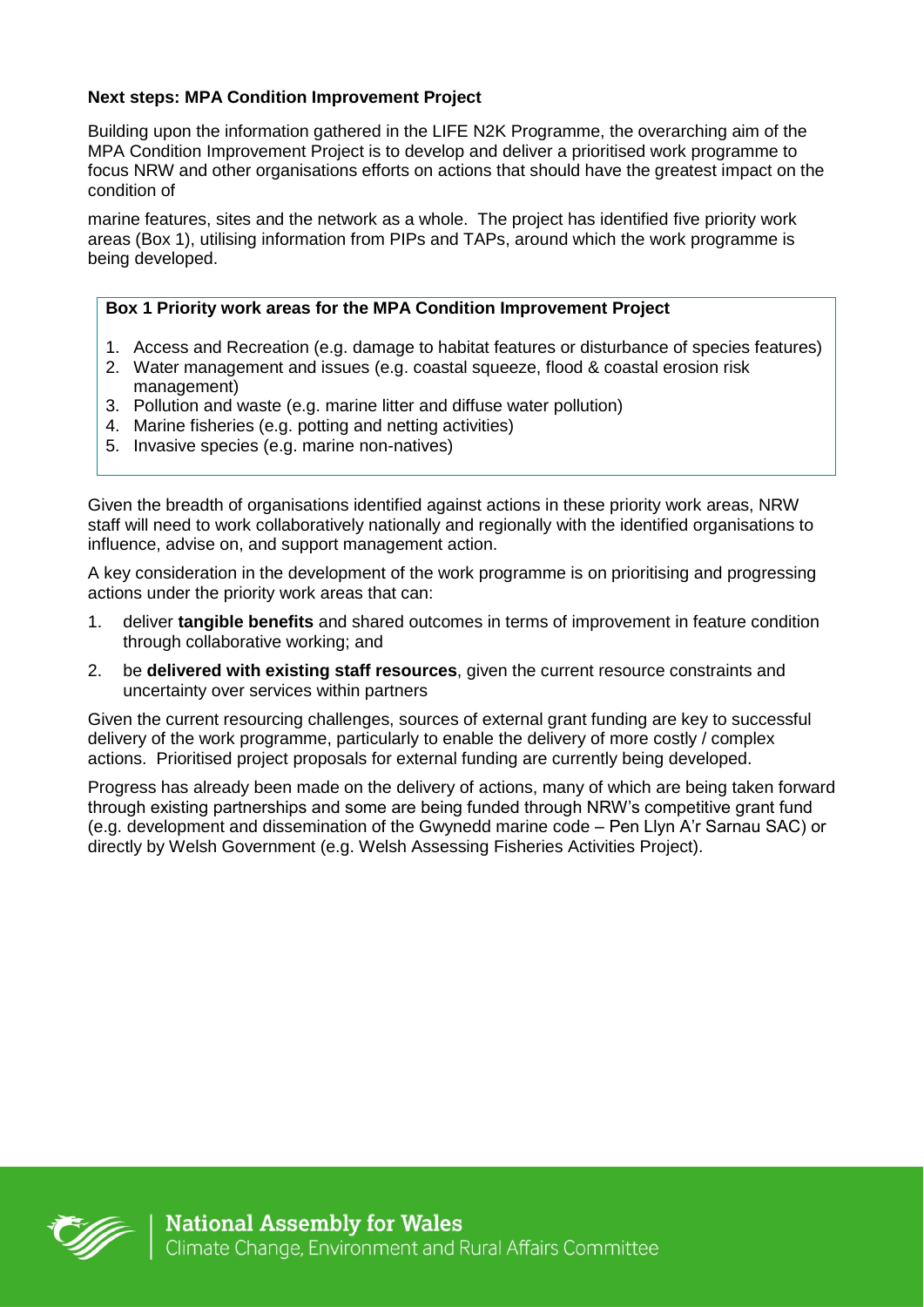### **Next steps: MPA Condition Improvement Project**

Building upon the information gathered in the LIFE N2K Programme, the overarching aim of the MPA Condition Improvement Project is to develop and deliver a prioritised work programme to focus NRW and other organisations efforts on actions that should have the greatest impact on the condition of

marine features, sites and the network as a whole. The project has identified five priority work areas (Box 1), utilising information from PIPs and TAPs, around which the work programme is being developed.

### **Box 1 Priority work areas for the MPA Condition Improvement Project**

- 1. Access and Recreation (e.g. damage to habitat features or disturbance of species features)
- 2. Water management and issues (e.g. coastal squeeze, flood & coastal erosion risk management)
- 3. Pollution and waste (e.g. marine litter and diffuse water pollution)
- 4. Marine fisheries (e.g. potting and netting activities)
- 5. Invasive species (e.g. marine non-natives)

Given the breadth of organisations identified against actions in these priority work areas, NRW staff will need to work collaboratively nationally and regionally with the identified organisations to influence, advise on, and support management action.

A key consideration in the development of the work programme is on prioritising and progressing actions under the priority work areas that can:

- 1. deliver **tangible benefits** and shared outcomes in terms of improvement in feature condition through collaborative working; and
- 2. be **delivered with existing staff resources**, given the current resource constraints and uncertainty over services within partners

Given the current resourcing challenges, sources of external grant funding are key to successful delivery of the work programme, particularly to enable the delivery of more costly / complex actions. Prioritised project proposals for external funding are currently being developed.

Progress has already been made on the delivery of actions, many of which are being taken forward through existing partnerships and some are being funded through NRW's competitive grant fund (e.g. development and dissemination of the Gwynedd marine code – Pen Llyn A'r Sarnau SAC) or directly by Welsh Government (e.g. Welsh Assessing Fisheries Activities Project).

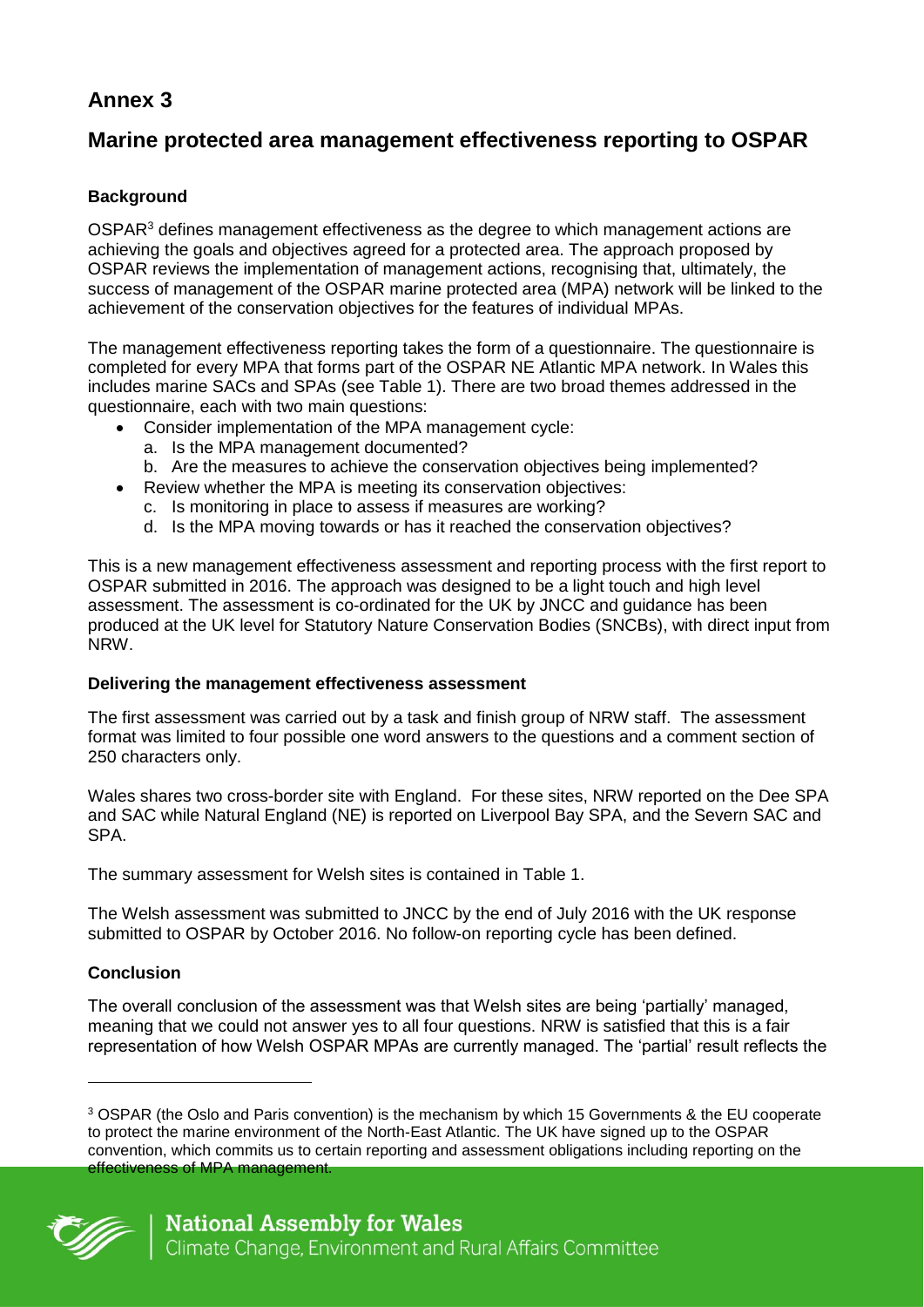# **Marine protected area management effectiveness reporting to OSPAR**

## **Background**

OSPAR<sup>3</sup> defines management effectiveness as the degree to which management actions are achieving the goals and objectives agreed for a protected area. The approach proposed by OSPAR reviews the implementation of management actions, recognising that, ultimately, the success of management of the OSPAR marine protected area (MPA) network will be linked to the achievement of the conservation objectives for the features of individual MPAs.

The management effectiveness reporting takes the form of a questionnaire. The questionnaire is completed for every MPA that forms part of the OSPAR NE Atlantic MPA network. In Wales this includes marine SACs and SPAs (see Table 1). There are two broad themes addressed in the questionnaire, each with two main questions:

- Consider implementation of the MPA management cycle:
	- a. Is the MPA management documented?
	- b. Are the measures to achieve the conservation objectives being implemented?
- Review whether the MPA is meeting its conservation objectives:
	- c. Is monitoring in place to assess if measures are working?
	- d. Is the MPA moving towards or has it reached the conservation objectives?

This is a new management effectiveness assessment and reporting process with the first report to OSPAR submitted in 2016. The approach was designed to be a light touch and high level assessment. The assessment is co-ordinated for the UK by JNCC and guidance has been produced at the UK level for Statutory Nature Conservation Bodies (SNCBs), with direct input from NRW.

## **Delivering the management effectiveness assessment**

The first assessment was carried out by a task and finish group of NRW staff. The assessment format was limited to four possible one word answers to the questions and a comment section of 250 characters only.

Wales shares two cross-border site with England. For these sites, NRW reported on the Dee SPA and SAC while Natural England (NE) is reported on Liverpool Bay SPA, and the Severn SAC and SPA.

The summary assessment for Welsh sites is contained in Table 1.

The Welsh assessment was submitted to JNCC by the end of July 2016 with the UK response submitted to OSPAR by October 2016. No follow-on reporting cycle has been defined.

## **Conclusion**

The overall conclusion of the assessment was that Welsh sites are being 'partially' managed, meaning that we could not answer yes to all four questions. NRW is satisfied that this is a fair representation of how Welsh OSPAR MPAs are currently managed. The 'partial' result reflects the

<sup>3</sup> OSPAR (the Oslo and Paris convention) is the mechanism by which 15 Governments & the EU cooperate to protect the marine environment of the North-East Atlantic. The UK have signed up to the OSPAR convention, which commits us to certain reporting and assessment obligations including reporting on the effectiveness of MPA management.



-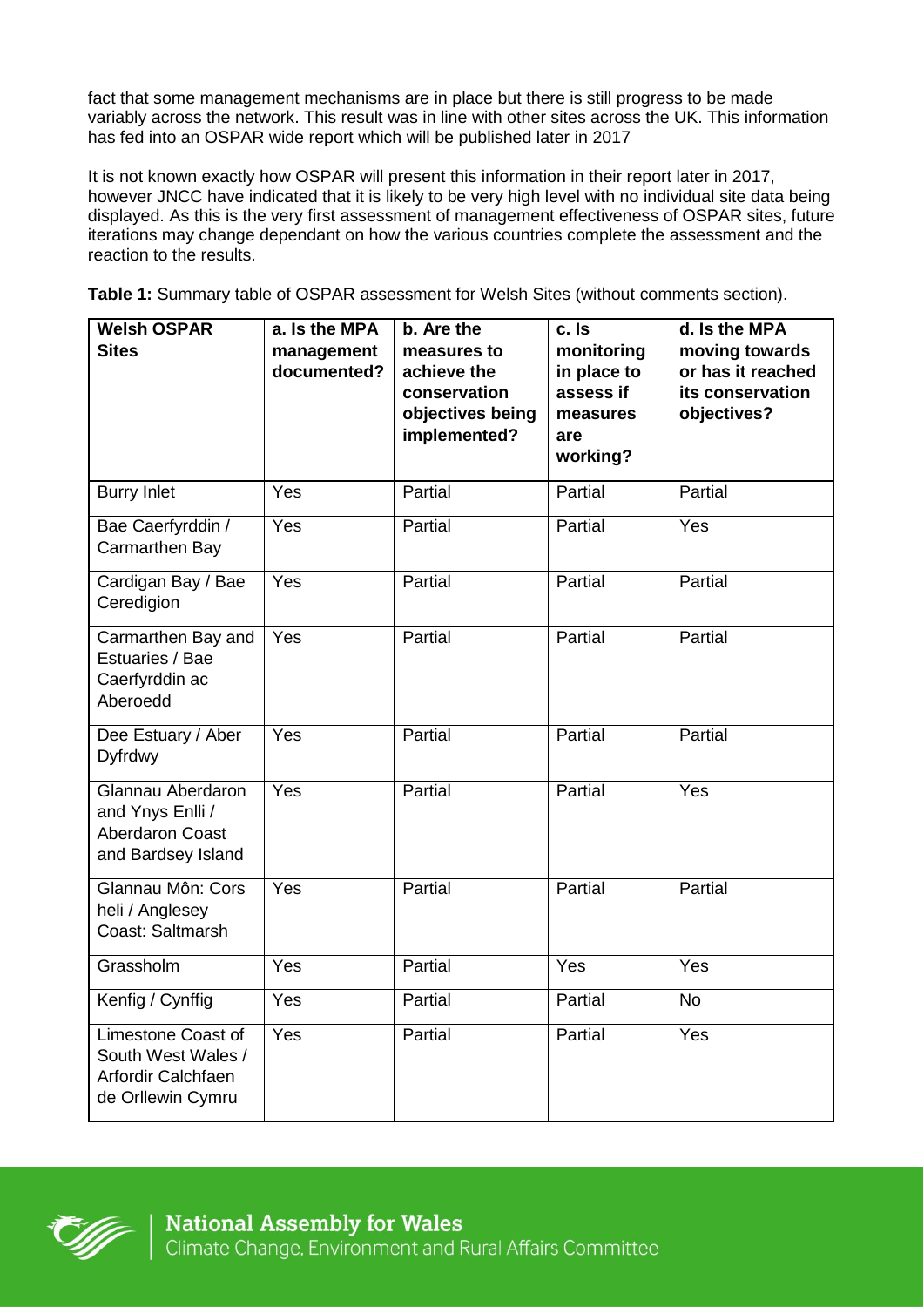fact that some management mechanisms are in place but there is still progress to be made variably across the network. This result was in line with other sites across the UK. This information has fed into an OSPAR wide report which will be published later in 2017

It is not known exactly how OSPAR will present this information in their report later in 2017, however JNCC have indicated that it is likely to be very high level with no individual site data being displayed. As this is the very first assessment of management effectiveness of OSPAR sites, future iterations may change dependant on how the various countries complete the assessment and the reaction to the results.

**Table 1:** Summary table of OSPAR assessment for Welsh Sites (without comments section).

| <b>Welsh OSPAR</b>                                                                    | a. Is the MPA             | b. Are the                                                                     | c. Is                                                                 | d. Is the MPA                                                          |
|---------------------------------------------------------------------------------------|---------------------------|--------------------------------------------------------------------------------|-----------------------------------------------------------------------|------------------------------------------------------------------------|
| <b>Sites</b>                                                                          | management<br>documented? | measures to<br>achieve the<br>conservation<br>objectives being<br>implemented? | monitoring<br>in place to<br>assess if<br>measures<br>are<br>working? | moving towards<br>or has it reached<br>its conservation<br>objectives? |
| <b>Burry Inlet</b>                                                                    | Yes                       | Partial                                                                        | Partial                                                               | Partial                                                                |
| Bae Caerfyrddin /<br>Carmarthen Bay                                                   | Yes                       | Partial                                                                        | Partial                                                               | Yes                                                                    |
| Cardigan Bay / Bae<br>Ceredigion                                                      | Yes                       | Partial                                                                        | Partial                                                               | Partial                                                                |
| Carmarthen Bay and<br>Estuaries / Bae<br>Caerfyrddin ac<br>Aberoedd                   | Yes                       | Partial                                                                        | Partial                                                               | Partial                                                                |
| Dee Estuary / Aber<br><b>Dyfrdwy</b>                                                  | Yes                       | Partial                                                                        | Partial                                                               | Partial                                                                |
| Glannau Aberdaron<br>and Ynys Enlli /<br><b>Aberdaron Coast</b><br>and Bardsey Island | Yes                       | Partial                                                                        | Partial                                                               | Yes                                                                    |
| Glannau Môn: Cors<br>heli / Anglesey<br>Coast: Saltmarsh                              | Yes                       | Partial                                                                        | Partial                                                               | Partial                                                                |
| Grassholm                                                                             | Yes                       | Partial                                                                        | Yes                                                                   | Yes                                                                    |
| Kenfig / Cynffig                                                                      | Yes                       | Partial                                                                        | Partial                                                               | <b>No</b>                                                              |
| Limestone Coast of<br>South West Wales /<br>Arfordir Calchfaen<br>de Orllewin Cymru   | Yes                       | Partial                                                                        | Partial                                                               | Yes                                                                    |

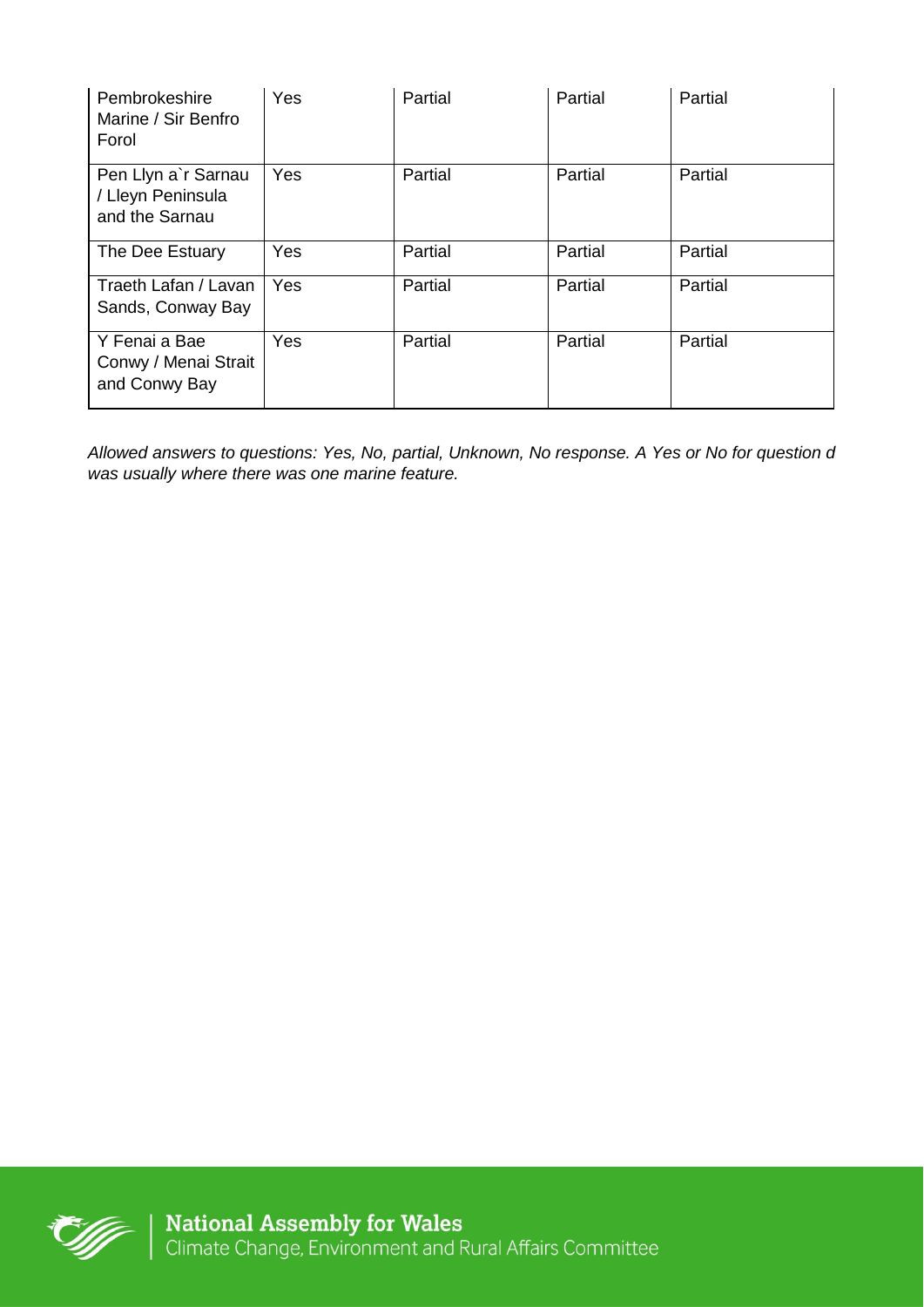| Pembrokeshire<br>Marine / Sir Benfro<br>Forol              | Yes | Partial | Partial | Partial |
|------------------------------------------------------------|-----|---------|---------|---------|
| Pen Llyn a'r Sarnau<br>/ Lleyn Peninsula<br>and the Sarnau | Yes | Partial | Partial | Partial |
| The Dee Estuary                                            | Yes | Partial | Partial | Partial |
| Traeth Lafan / Lavan<br>Sands, Conway Bay                  | Yes | Partial | Partial | Partial |
| Y Fenai a Bae<br>Conwy / Menai Strait<br>and Conwy Bay     | Yes | Partial | Partial | Partial |

*Allowed answers to questions: Yes, No, partial, Unknown, No response. A Yes or No for question d was usually where there was one marine feature.*

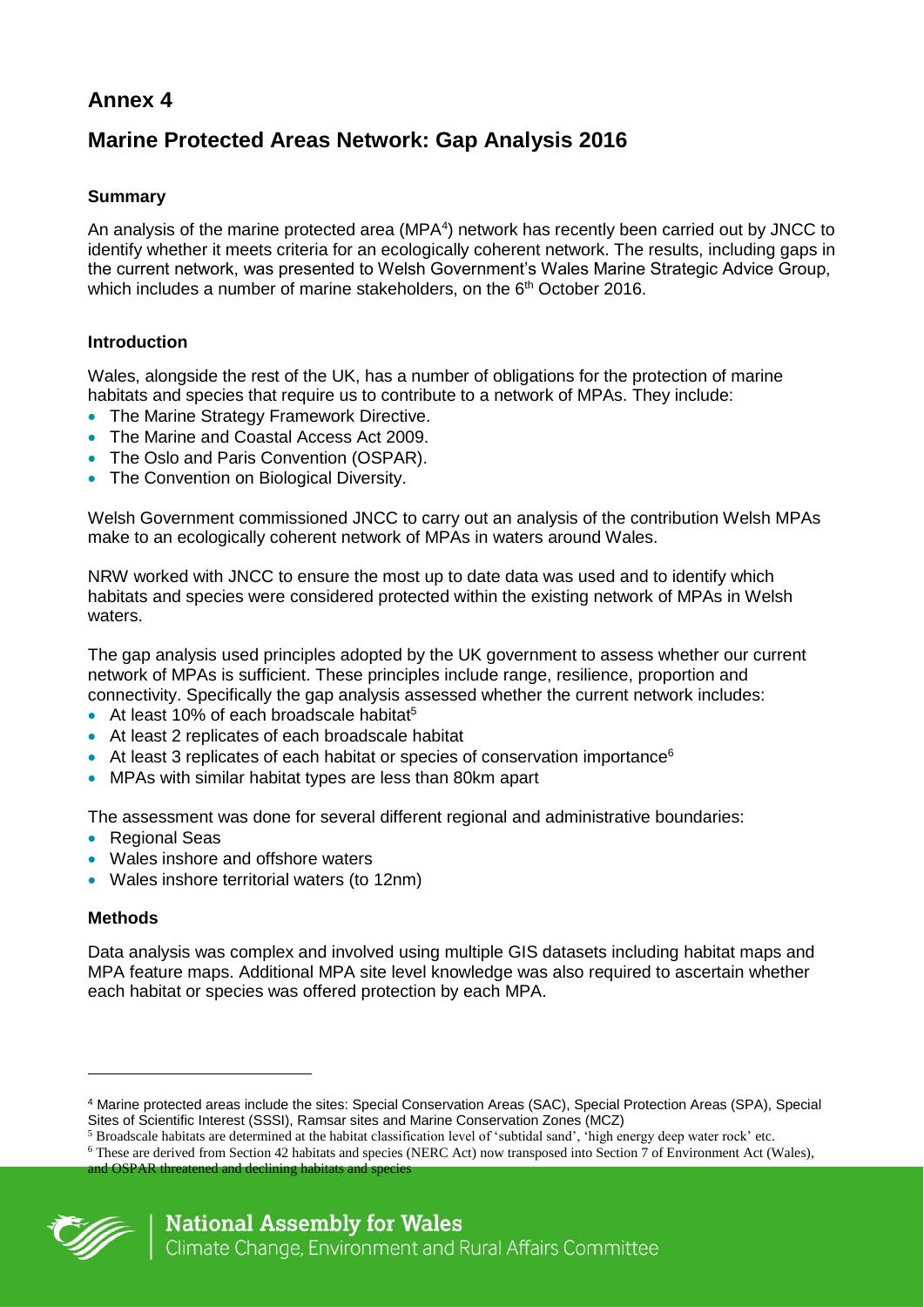# **Marine Protected Areas Network: Gap Analysis 2016**

## **Summary**

An analysis of the marine protected area (MPA<sup>4</sup>) network has recently been carried out by JNCC to identify whether it meets criteria for an ecologically coherent network. The results, including gaps in the current network, was presented to Welsh Government's Wales Marine Strategic Advice Group, which includes a number of marine stakeholders, on the 6<sup>th</sup> October 2016.

### **Introduction**

Wales, alongside the rest of the UK, has a number of obligations for the protection of marine habitats and species that require us to contribute to a network of MPAs. They include:

- The Marine Strategy Framework Directive.
- The Marine and Coastal Access Act 2009.
- The Oslo and Paris Convention (OSPAR).
- The Convention on Biological Diversity.

Welsh Government commissioned JNCC to carry out an analysis of the contribution Welsh MPAs make to an ecologically coherent network of MPAs in waters around Wales.

NRW worked with JNCC to ensure the most up to date data was used and to identify which habitats and species were considered protected within the existing network of MPAs in Welsh waters.

The gap analysis used principles adopted by the UK government to assess whether our current network of MPAs is sufficient. These principles include range, resilience, proportion and connectivity. Specifically the gap analysis assessed whether the current network includes:

- $\bullet$  At least 10% of each broadscale habitat<sup>5</sup>
- At least 2 replicates of each broadscale habitat
- At least 3 replicates of each habitat or species of conservation importance<sup>6</sup>
- MPAs with similar habitat types are less than 80km apart

The assessment was done for several different regional and administrative boundaries:

- Regional Seas
- Wales inshore and offshore waters
- Wales inshore territorial waters (to 12nm)

### **Methods**

Data analysis was complex and involved using multiple GIS datasets including habitat maps and MPA feature maps. Additional MPA site level knowledge was also required to ascertain whether each habitat or species was offered protection by each MPA.

and OSPAR threatened and declining habitats and species



 $\overline{a}$ 

<sup>4</sup> Marine protected areas include the sites: Special Conservation Areas (SAC), Special Protection Areas (SPA), Special Sites of Scientific Interest (SSSI), Ramsar sites and Marine Conservation Zones (MCZ)

<sup>5</sup> Broadscale habitats are determined at the habitat classification level of 'subtidal sand', 'high energy deep water rock' etc.

<sup>&</sup>lt;sup>6</sup> These are derived from Section 42 habitats and species (NERC Act) now transposed into Section  $\frac{1}{\sqrt{7}}$  of Environment Act (Wales),